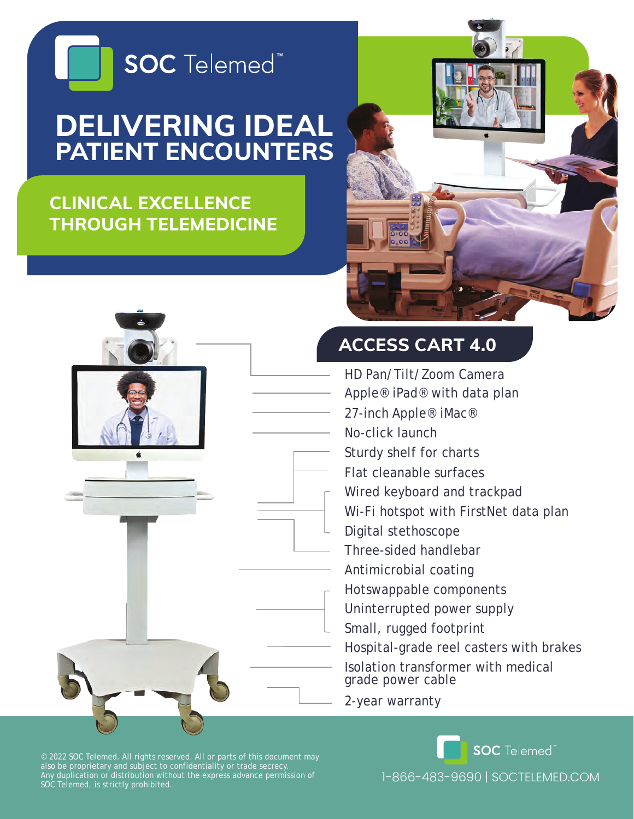

# **DELIVERING IDEAL PATIENT ENCOUNTERS**

## **CLINICAL EXCELLENCE THROUGH TELEMEDICINE**





### **ACCESS CART 4.0**

- HD Pan/Tilt/Zoom Camera
- Apple® iPad® with data plan
- 27-inch Apple® iMac®
- No-click launch
- Sturdy shelf for charts
- Flat cleanable surfaces
- Wired keyboard and trackpad
- Wi-Fi hotspot with FirstNet data plan
- Digital stethoscope
- Three-sided handlebar
- Antimicrobial coating
- Hotswappable components
- Uninterrupted power supply
- Small, rugged footprint
- Hospital-grade reel casters with brakes

Isolation transformer with medical grade power cable

2-year warranty

© 2022 SOC Telemed. All rights reserved. All or parts of this document may also be proprietary and subject to confidentiality or trade secrecy. Any duplication or distribution without the express advance permission of SOC Telemed, is strictly prohibited.

1-866-483-9690 | SOCTELEMED.COM

**SOC** Telemed<sup>®</sup>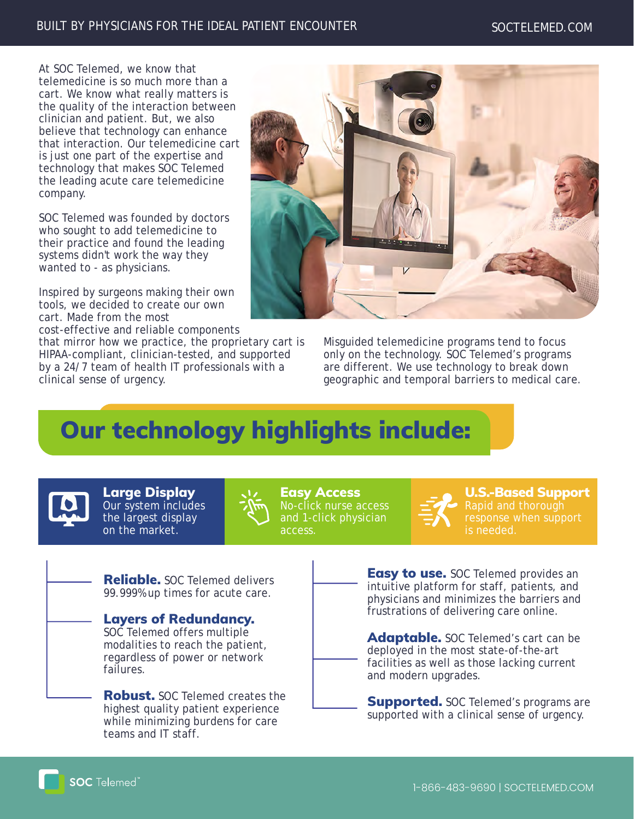#### BUILT BY PHYSICIANS FOR THE IDEAL PATIENT ENCOUNTER SOCTELEMED.COM

At SOC Telemed, we know that telemedicine is so much more than a cart. We know what really matters is the quality of the interaction between clinician and patient. But, we also believe that technology can enhance that interaction. Our telemedicine cart is just one part of the expertise and technology that makes SOC Telemed the leading acute care telemedicine company.

SOC Telemed was founded by doctors who sought to add telemedicine to their practice and found the leading systems didn't work the way they wanted to - as physicians.

Inspired by surgeons making their own tools, we decided to create our own cart. Made from the most cost-effective and reliable components

that mirror how we practice, the proprietary cart is HIPAA-compliant, clinician-tested, and supported by a 24/7 team of health IT professionals with a clinical sense of urgency.



Misguided telemedicine programs tend to focus only on the technology. SOC Telemed's programs are different. We use technology to break down geographic and temporal barriers to medical care.

## Our technology highlights include:



Large Display Our system includes the largest display on the market.



Easy Access No-click nurse access and 1-click physician access.



U.S.-Based Support Rapid and thorough response when support is needed.

Reliable. SOC Telemed delivers 99.999% up times for acute care.

Layers of Redundancy. SOC Telemed offers multiple modalities to reach the patient, regardless of power or network failures.

**Robust.** SOC Telemed creates the highest quality patient experience while minimizing burdens for care teams and IT staff.

**Easy to use.** SOC Telemed provides an intuitive platform for staff, patients, and physicians and minimizes the barriers and frustrations of delivering care online.

Adaptable. SOC Telemed's cart can be deployed in the most state-of-the-art facilities as well as those lacking current and modern upgrades.

**Supported.** SOC Telemed's programs are supported with a clinical sense of urgency.

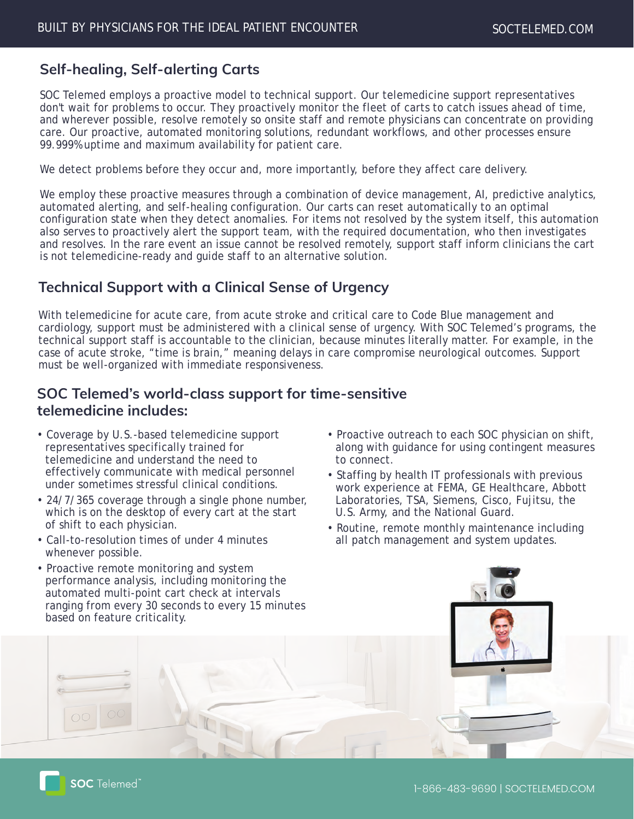#### **Self-healing, Self-alerting Carts**

SOC Telemed employs a proactive model to technical support. Our telemedicine support representatives don't wait for problems to occur. They proactively monitor the fleet of carts to catch issues ahead of time, and wherever possible, resolve remotely so onsite staff and remote physicians can concentrate on providing care. Our proactive, automated monitoring solutions, redundant workflows, and other processes ensure 99.999% uptime and maximum availability for patient care.

We detect problems before they occur and, more importantly, before they affect care delivery.

We employ these proactive measures through a combination of device management, AI, predictive analytics, automated alerting, and self-healing configuration. Our carts can reset automatically to an optimal configuration state when they detect anomalies. For items not resolved by the system itself, this automation also serves to proactively alert the support team, with the required documentation, who then investigates and resolves. In the rare event an issue cannot be resolved remotely, support staff inform clinicians the cart is not telemedicine-ready and guide staff to an alternative solution.

#### **Technical Support with a Clinical Sense of Urgency**

With telemedicine for acute care, from acute stroke and critical care to Code Blue management and cardiology, support must be administered with a clinical sense of urgency. With SOC Telemed's programs, the technical support staff is accountable to the clinician, because minutes literally matter. For example, in the case of acute stroke, "time is brain," meaning delays in care compromise neurological outcomes. Support must be well-organized with immediate responsiveness.

#### **SOC Telemed's world-class support for time-sensitive telemedicine includes:**

- Coverage by U.S.-based telemedicine support representatives specifically trained for telemedicine and understand the need to effectively communicate with medical personnel under sometimes stressful clinical conditions.
- 24/7/365 coverage through a single phone number, which is on the desktop of every cart at the start of shift to each physician.
- Call-to-resolution times of under 4 minutes whenever possible.
- Proactive outreach to each SOC physician on shift, along with guidance for using contingent measures to connect.
- Staffing by health IT professionals with previous work experience at FEMA, GE Healthcare, Abbott Laboratories, TSA, Siemens, Cisco, Fujitsu, the U.S. Army, and the National Guard.
- Routine, remote monthly maintenance including all patch management and system updates.

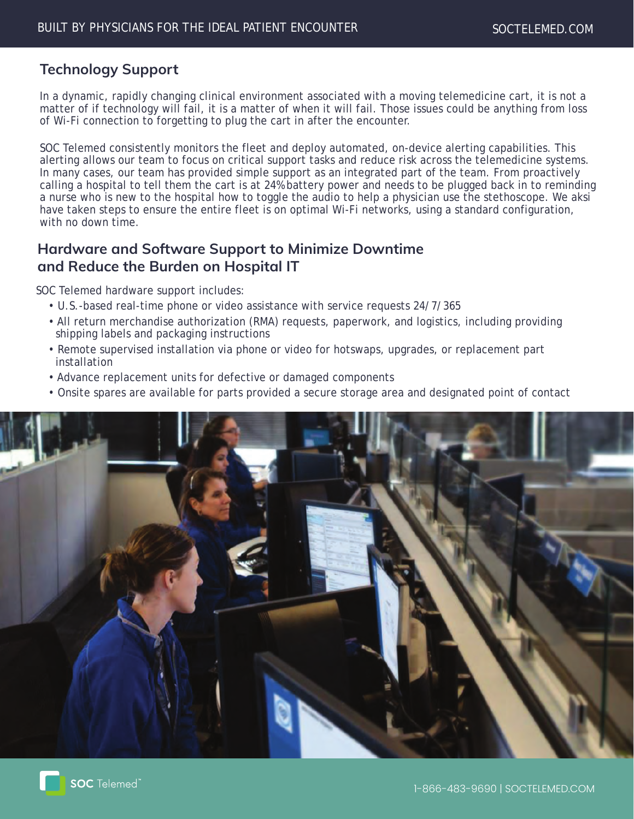#### **Technology Support**

In a dynamic, rapidly changing clinical environment associated with a moving telemedicine cart, it is not a matter of if technology will fail, it is a matter of when it will fail. Those issues could be anything from loss of Wi-Fi connection to forgetting to plug the cart in after the encounter.

SOC Telemed consistently monitors the fleet and deploy automated, on-device alerting capabilities. This alerting allows our team to focus on critical support tasks and reduce risk across the telemedicine systems. In many cases, our team has provided simple support as an integrated part of the team. From proactively calling a hospital to tell them the cart is at 24% battery power and needs to be plugged back in to reminding a nurse who is new to the hospital how to toggle the audio to help a physician use the stethoscope. We aksi have taken steps to ensure the entire fleet is on optimal Wi-Fi networks, using a standard configuration, with no down time.

#### **Hardware and Software Support to Minimize Downtime and Reduce the Burden on Hospital IT**

SOC Telemed hardware support includes:

- U.S.-based real-time phone or video assistance with service requests 24/7/365
- All return merchandise authorization (RMA) requests, paperwork, and logistics, including providing shipping labels and packaging instructions
- Remote supervised installation via phone or video for hotswaps, upgrades, or replacement part installation
- Advance replacement units for defective or damaged components
- Onsite spares are available for parts provided a secure storage area and designated point of contact